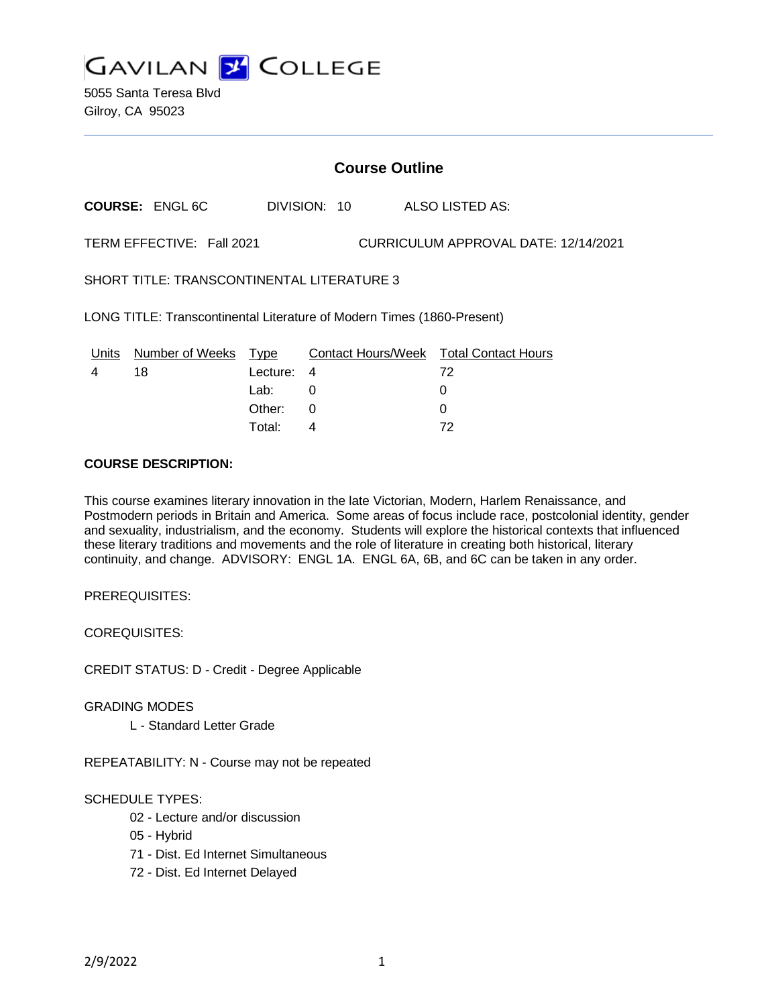

5055 Santa Teresa Blvd Gilroy, CA 95023

# **Course Outline**

**COURSE:** ENGL 6C DIVISION: 10 ALSO LISTED AS:

TERM EFFECTIVE: Fall 2021 CURRICULUM APPROVAL DATE: 12/14/2021

SHORT TITLE: TRANSCONTINENTAL LITERATURE 3

LONG TITLE: Transcontinental Literature of Modern Times (1860-Present)

| Units | Number of Weeks Type |            | <b>Contact Hours/Week Total Contact Hours</b> |    |
|-------|----------------------|------------|-----------------------------------------------|----|
|       | 18                   | Lecture: 4 |                                               | 72 |
|       |                      | Lab:       |                                               |    |
|       |                      | Other:     |                                               |    |
|       |                      | Total:     |                                               | 72 |

# **COURSE DESCRIPTION:**

This course examines literary innovation in the late Victorian, Modern, Harlem Renaissance, and Postmodern periods in Britain and America. Some areas of focus include race, postcolonial identity, gender and sexuality, industrialism, and the economy. Students will explore the historical contexts that influenced these literary traditions and movements and the role of literature in creating both historical, literary continuity, and change. ADVISORY: ENGL 1A. ENGL 6A, 6B, and 6C can be taken in any order.

PREREQUISITES:

COREQUISITES:

CREDIT STATUS: D - Credit - Degree Applicable

GRADING MODES

L - Standard Letter Grade

REPEATABILITY: N - Course may not be repeated

### SCHEDULE TYPES:

- 02 Lecture and/or discussion
- 05 Hybrid
- 71 Dist. Ed Internet Simultaneous
- 72 Dist. Ed Internet Delayed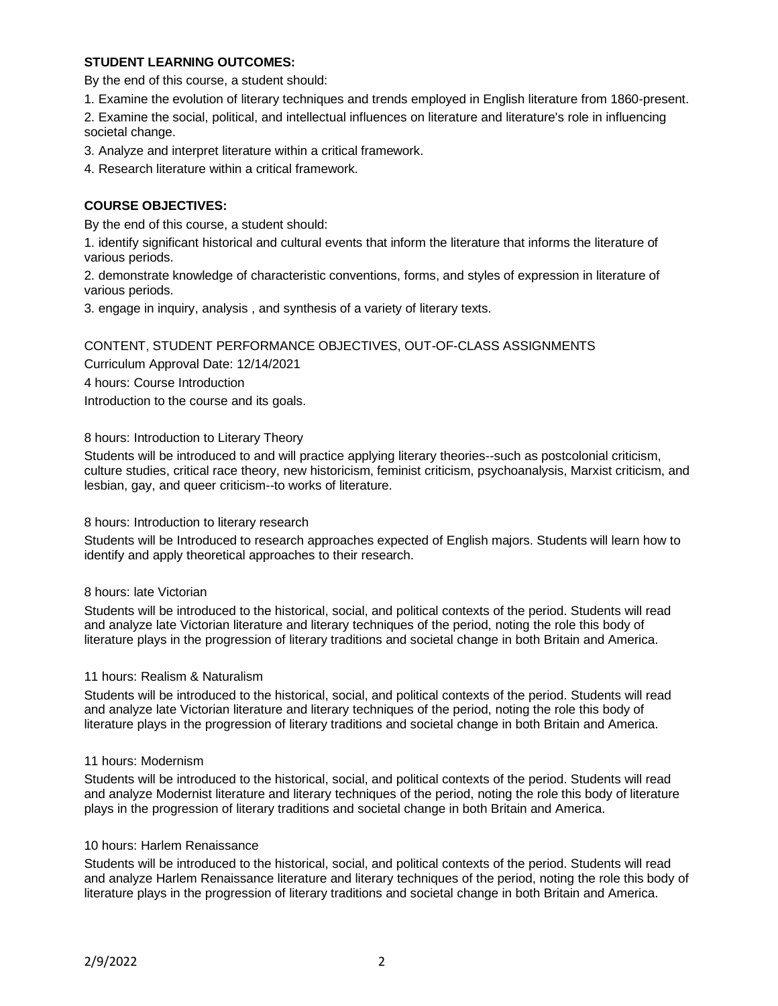## **STUDENT LEARNING OUTCOMES:**

By the end of this course, a student should:

1. Examine the evolution of literary techniques and trends employed in English literature from 1860-present.

2. Examine the social, political, and intellectual influences on literature and literature's role in influencing societal change.

3. Analyze and interpret literature within a critical framework.

4. Research literature within a critical framework.

# **COURSE OBJECTIVES:**

By the end of this course, a student should:

1. identify significant historical and cultural events that inform the literature that informs the literature of various periods.

2. demonstrate knowledge of characteristic conventions, forms, and styles of expression in literature of various periods.

3. engage in inquiry, analysis , and synthesis of a variety of literary texts.

### CONTENT, STUDENT PERFORMANCE OBJECTIVES, OUT-OF-CLASS ASSIGNMENTS

Curriculum Approval Date: 12/14/2021

4 hours: Course Introduction

Introduction to the course and its goals.

### 8 hours: Introduction to Literary Theory

Students will be introduced to and will practice applying literary theories--such as postcolonial criticism, culture studies, critical race theory, new historicism, feminist criticism, psychoanalysis, Marxist criticism, and lesbian, gay, and queer criticism--to works of literature.

#### 8 hours: Introduction to literary research

Students will be Introduced to research approaches expected of English majors. Students will learn how to identify and apply theoretical approaches to their research.

#### 8 hours: late Victorian

Students will be introduced to the historical, social, and political contexts of the period. Students will read and analyze late Victorian literature and literary techniques of the period, noting the role this body of literature plays in the progression of literary traditions and societal change in both Britain and America.

#### 11 hours: Realism & Naturalism

Students will be introduced to the historical, social, and political contexts of the period. Students will read and analyze late Victorian literature and literary techniques of the period, noting the role this body of literature plays in the progression of literary traditions and societal change in both Britain and America.

#### 11 hours: Modernism

Students will be introduced to the historical, social, and political contexts of the period. Students will read and analyze Modernist literature and literary techniques of the period, noting the role this body of literature plays in the progression of literary traditions and societal change in both Britain and America.

#### 10 hours: Harlem Renaissance

Students will be introduced to the historical, social, and political contexts of the period. Students will read and analyze Harlem Renaissance literature and literary techniques of the period, noting the role this body of literature plays in the progression of literary traditions and societal change in both Britain and America.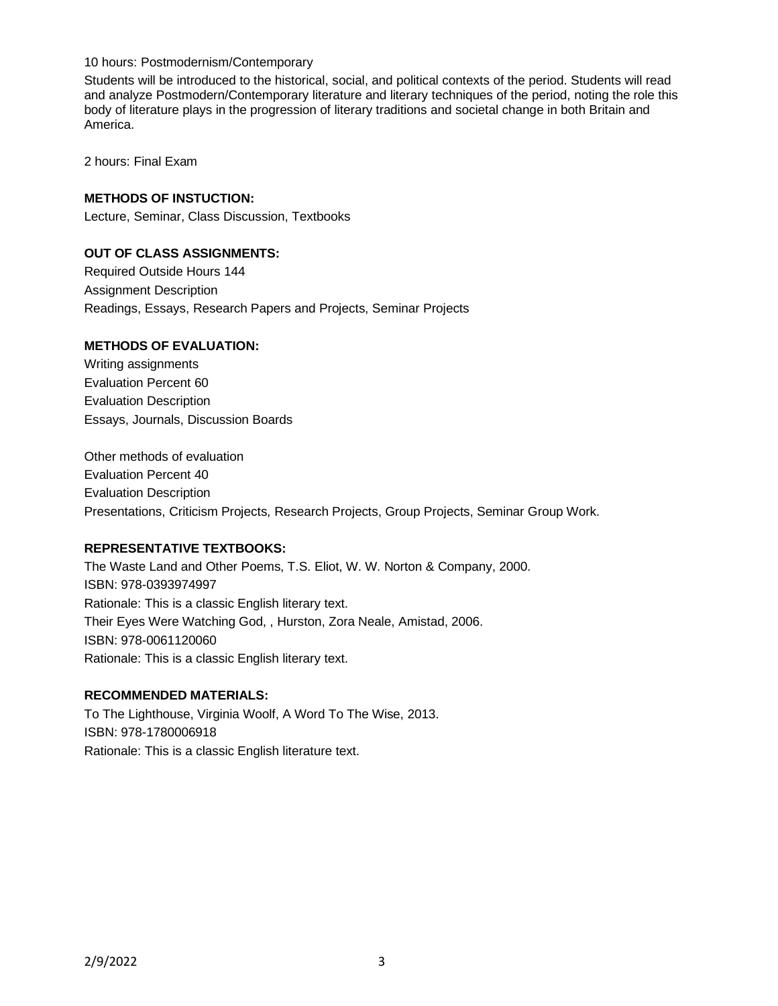10 hours: Postmodernism/Contemporary

Students will be introduced to the historical, social, and political contexts of the period. Students will read and analyze Postmodern/Contemporary literature and literary techniques of the period, noting the role this body of literature plays in the progression of literary traditions and societal change in both Britain and America.

2 hours: Final Exam

### **METHODS OF INSTUCTION:**

Lecture, Seminar, Class Discussion, Textbooks

### **OUT OF CLASS ASSIGNMENTS:**

Required Outside Hours 144 Assignment Description Readings, Essays, Research Papers and Projects, Seminar Projects

# **METHODS OF EVALUATION:**

Writing assignments Evaluation Percent 60 Evaluation Description Essays, Journals, Discussion Boards

Other methods of evaluation Evaluation Percent 40 Evaluation Description Presentations, Criticism Projects, Research Projects, Group Projects, Seminar Group Work.

## **REPRESENTATIVE TEXTBOOKS:**

The Waste Land and Other Poems, T.S. Eliot, W. W. Norton & Company, 2000. ISBN: 978-0393974997 Rationale: This is a classic English literary text. Their Eyes Were Watching God, , Hurston, Zora Neale, Amistad, 2006. ISBN: 978-0061120060 Rationale: This is a classic English literary text.

#### **RECOMMENDED MATERIALS:**

To The Lighthouse, Virginia Woolf, A Word To The Wise, 2013. ISBN: 978-1780006918 Rationale: This is a classic English literature text.